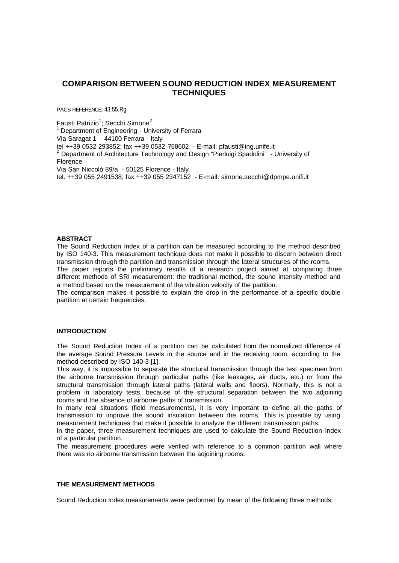# **COMPARISON BETWEEN SOUND REDUCTION INDEX MEASUREMENT TECHNIQUES**

PACS REFERENCE: 43.55.Rg

 $\mathsf F$ austi Patrizio ${}^1\!;$  Secchi Simone ${}^2$ 

Department of Engineering - University of Ferrara

Via Saragat 1 - 44100 Ferrara - Italy

tel ++39 0532 293852; fax ++39 0532 768602 - E-mail: pfausti@ing.unife.it

2 Department of Architecture Technology and Design "Pierluigi Spadolini" - University of Florence

Via San Niccolò 89/a - 50125 Florence - Italy

tel. ++39 055 2491538; fax ++39 055 2347152 - E-mail: simone.secchi@dpmpe.unifi.it

## **ABSTRACT**

The Sound Reduction Index of a partition can be measured according to the method described by ISO 140-3. This measurement technique does not make it possible to discern between direct transmission through the partition and transmission through the lateral structures of the rooms.

The paper reports the preliminary results of a research project aimed at comparing three different methods of SRI measurement: the traditional method, the sound intensity method and a method based on the measurement of the vibration velocity of the partition.

The comparison makes it possible to explain the drop in the performance of a specific double partition at certain frequencies.

#### **INTRODUCTION**

The Sound Reduction Index of a partition can be calculated from the normalized difference of the average Sound Pressure Levels in the source and in the receiving room, according to the method described by ISO 140-3 [1].

This way, it is impossible to separate the structural transmission through the test specimen from the airborne transmission through particular paths (like leakages, air ducts, etc.) or from the structural transmission through lateral paths (lateral walls and floors). Normally, this is not a problem in laboratory tests, because of the structural separation between the two adjoining rooms and the absence of airborne paths of transmission.

In many real situations (field measurements), it is very important to define all the paths of transmission to improve the sound insulation between the rooms. This is possible by using measurement techniques that make it possible to analyze the different transmission paths.

In the paper, three measurement techniques are used to calculate the Sound Reduction Index of a particular partition.

The measurement procedures were verified with reference to a common partition wall where there was no airborne transmission between the adjoining rooms.

## **THE MEASUREMENT METHODS**

Sound Reduction Index measurements were performed by mean of the following three methods: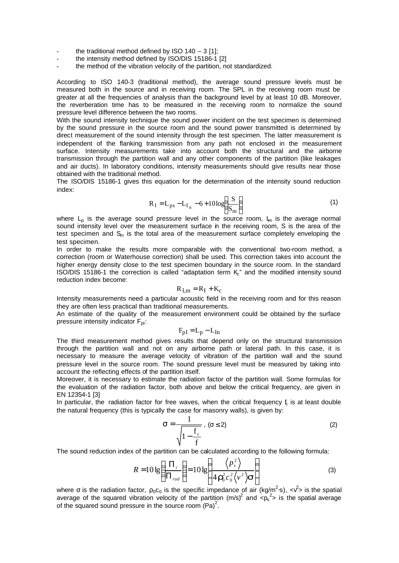- the traditional method defined by ISO  $140 3$  [1];
- the intensity method defined by ISO/DIS 15186-1 [2]
- the method of the vibration velocity of the partition, not standardized.

According to ISO 140-3 (traditional method), the average sound pressure levels must be measured both in the source and in receiving room. The SPL in the receiving room must be greater at all the frequencies of analysis than the background level by at least 10 dB. Moreover, the reverberation time has to be measured in the receiving room to normalize the sound pressure level difference between the two rooms.

With the sound intensity technique the sound power incident on the test specimen is determined by the sound pressure in the source room and the sound power transmitted is determined by direct measurement of the sound intensity through the test specimen. The latter measurement is independent of the flanking transmission from any path not enclosed in the measurement surface. Intensity measurements take into account both the structural and the airborne transmission through the partition wall and any other components of the partition (like leakages and air ducts). In laboratory conditions, intensity measurements should give results near those obtained with the traditional method.

The ISO/DIS 15186-1 gives this equation for the determination of the intensity sound reduction index:

$$
R_{I} = L_{ps} - L_{I_n} - 6 + 10 \log \left( \frac{S}{S_m} \right)
$$
 (1)

where  $L_p$  is the average sound pressure level in the source room,  $L_p$  is the average normal sound intensity level over the measurement surface in the receiving room, S is the area of the test specimen and  $S<sub>m</sub>$  is the total area of the measurement surface completely enveloping the test specimen.

In order to make the results more comparable with the conventional two-room method, a correction (room or Waterhouse correction) shall be used. This correction takes into account the higher energy density close to the test specimen boundary in the source room. In the standard ISO/DIS 15186-1 the correction is called "adaptation term  $K<sub>c</sub>$ " and the modified intensity sound reduction index become:

$$
R_{I,m} = R_I + K_c
$$

Intensity measurements need a particular acoustic field in the receiving room and for this reason they are often less practical than traditional measurements.

An estimate of the quality of the measurement environment could be obtained by the surface pressure intensity indicator  $F_{pl}$ :

$$
F_{pI} = L_p - L_{In}
$$

The third measurement method gives results that depend only on the structural transmission through the partition wall and not on any airborne path or lateral path. In this case, it is necessary to measure the average velocity of vibration of the partition wall and the sound pressure level in the source room. The sound pressure level must be measured by taking into account the reflecting effects of the partition itself.

Moreover, it is necessary to estimate the radiation factor of the partition wall. Some formulas for the evaluation of the radiation factor, both above and below the critical frequency, are given in EN 12354-1 [3]

In particular, the radiation factor for free waves, when the critical frequency  $f_c$  is at least double the natural frequency (this is typically the case for masonry walls), is given by:

$$
\sigma = \frac{1}{\sqrt{1 - \frac{f_c}{f}}}, \quad (\sigma \le 2)
$$
\n(2)

The sound reduction index of the partition can be calculated according to the following formula:

$$
R = 10 \lg \left( \frac{\Pi_i}{\Pi_{rad}} \right) = 10 \lg \left( \frac{\left\langle p_s^2 \right\rangle}{4 \, \mathbf{r}_0^2 c_0^2 \left\langle v^2 \right\rangle \mathbf{s}} \right) \tag{3}
$$

where  $\sigma$  is the radiation factor,  $\rho_0 c_0$  is the specific impedance of air (kg/m<sup>2</sup>·s), < $v^2$ > is the spatial average of the squared vibration velocity of the partition  $(m/s)^2$  and  $\langle p_s^2 \rangle$  is the spatial average of the squared sound pressure in the source room  $(Pa)^2$ .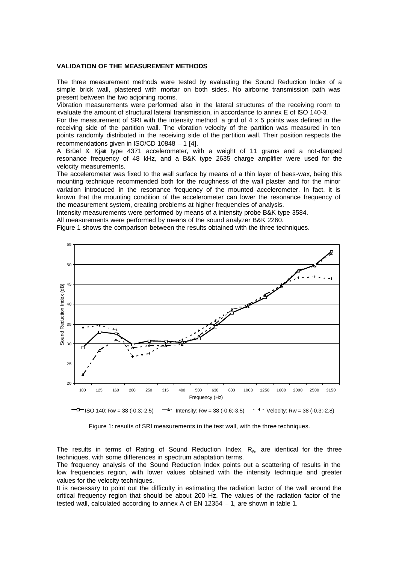#### **VALIDATION OF THE MEASUREMENT METHODS**

The three measurement methods were tested by evaluating the Sound Reduction Index of a simple brick wall, plastered with mortar on both sides. No airborne transmission path was present between the two adjoining rooms.

Vibration measurements were performed also in the lateral structures of the receiving room to evaluate the amount of structural lateral transmission, in accordance to annex E of ISO 140-3.

For the measurement of SRI with the intensity method, a grid of  $4 \times 5$  points was defined in the receiving side of the partition wall. The vibration velocity of the partition was measured in ten points randomly distributed in the receiving side of the partition wall. Their position respects the recommendations given in ISO/CD 10848 – 1 [4].

A Brüel & Kjær type 4371 accelerometer, with a weight of 11 grams and a not-damped resonance frequency of 48 kHz, and a B&K type 2635 charge amplifier were used for the velocity measurements.

The accelerometer was fixed to the wall surface by means of a thin layer of bees-wax, being this mounting technique recommended both for the roughness of the wall plaster and for the minor variation introduced in the resonance frequency of the mounted accelerometer. In fact, it is known that the mounting condition of the accelerometer can lower the resonance frequency of the measurement system, creating problems at higher frequencies of analysis.

Intensity measurements were performed by means of a intensity probe B&K type 3584.

All measurements were performed by means of the sound analyzer B&K 2260.

Figure 1 shows the comparison between the results obtained with the three techniques.



 $-I$  ISO 140: Rw = 38 (-0.3;-2.5)  $-I$  Intensity: Rw = 38 (-0.6;-3.5)  $-I$  Velocity: Rw = 38 (-0.3;-2.8)

Figure 1: results of SRI measurements in the test wall, with the three techniques.

The results in terms of Rating of Sound Reduction Index,  $R_w$ , are identical for the three techniques, with some differences in spectrum adaptation terms.

The frequency analysis of the Sound Reduction Index points out a scattering of results in the low frequencies region, with lower values obtained with the intensity technique and greater values for the velocity techniques.

It is necessary to point out the difficulty in estimating the radiation factor of the wall around the critical frequency region that should be about 200 Hz. The values of the radiation factor of the tested wall, calculated according to annex A of EN 12354 – 1, are shown in table 1.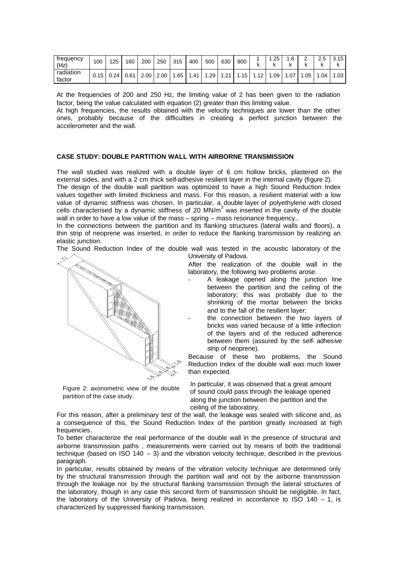| trequency<br>(Hz)   | 100  | 125   | 160  | 200  | 250  | 315 | 400 | 500 | 630            | 800 |         | .25<br>N | . 6<br>n | ⌒<br>-<br>r | 2.5<br>N | 3.15<br>r |
|---------------------|------|-------|------|------|------|-----|-----|-----|----------------|-----|---------|----------|----------|-------------|----------|-----------|
| radiation<br>factor | 0.15 | 0.241 | 0.61 | 2.00 | 2.00 | .65 | .41 | .29 | $\Omega$<br>.Z | .15 | 10<br>- | .09      | .07      | .05         | .04      | .03       |

At the frequencies of 200 and 250 Hz, the limiting value of 2 has been given to the radiation factor, being the value calculated with equation (2) greater than this limiting value.

At high frequencies, the results obtained with the velocity techniques are lower than the other ones, probably because of the difficulties in creating a perfect junction between the accelerometer and the wall.

## **CASE STUDY: DOUBLE PARTITION WALL WITH AIRBORNE TRANSMISSION**

The wall studied was realized with a double layer of 6 cm hollow bricks, plastered on the external sides, and with a 2 cm thick self-adhesive resilient layer in the internal cavity (figure 2).

The design of the double wall partition was optimized to have a high Sound Reduction Index values together with limited thickness and mass. For this reason, a resilient material with a low value of dynamic stiffness was chosen. In particular, a double layer of polyethylene with closed cells characterised by a dynamic stiffness of 20  $MN/m<sup>3</sup>$  was inserted in the cavity of the double wall in order to have a low value of the mass – spring – mass resonance frequency..

In the connections between the partition and its flanking structures (lateral walls and floors), a thin strip of neoprene was inserted, in order to reduce the flanking transmission by realizing an elastic junction.

The Sound Reduction Index of the double wall was tested in the acoustic laboratory of the University of Padova.



Figure 2: axonometric view of the double partition of the case study.

After the realization of the double wall in the laboratory, the following two problems arose.

A leakage opened along the junction line between the partition and the ceiling of the laboratory; this was probably due to the shrinking of the mortar between the bricks and to the fall of the resilient layer;

the connection between the two layers of bricks was varied because of a little inflection of the layers and of the reduced adherence between them (assured by the self- adhesive strip of neoprene).

Because of these two problems, the Sound Reduction Index of the double wall was much lower than expected.

In particular, it was observed that a great amount of sound could pass through the leakage opened along the junction between the partition and the ceiling of the laboratory.

For this reason, after a preliminary test of the wall, the leakage was sealed with silicone and, as a consequence of this, the Sound Reduction Index of the partition greatly increased at high frequencies.

To better characterize the real performance of the double wall in the presence of structural and airborne transmission paths , measurements were carried out by means of both the traditional technique (based on ISO 140 – 3) and the vibration velocity technique, described in the previous paragraph.

In particular, results obtained by means of the vibration velocity technique are determined only by the structural transmission through the partition wall and not by the airborne transmission through the leakage nor by the structural flanking transmission through the lateral structures of the laboratory, though in any case this second form of transmission should be negligible. In fact, the laboratory of the University of Padova, being realized in accordance to ISO 140 – 1, is characterized by suppressed flanking transmission.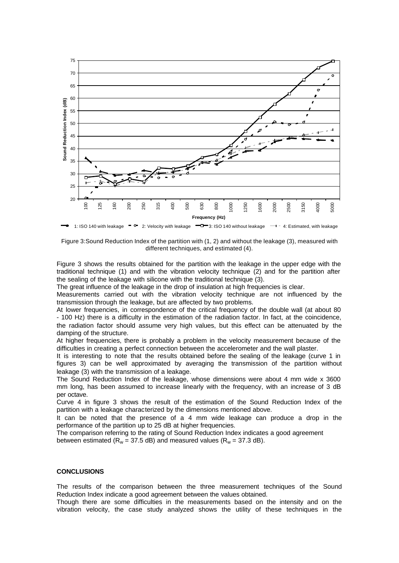

Figure 3:Sound Reduction Index of the partition with (1, 2) and without the leakage (3), measured with different techniques, and estimated (4).

Figure 3 shows the results obtained for the partition with the leakage in the upper edge with the traditional technique (1) and with the vibration velocity technique (2) and for the partition after the sealing of the leakage with silicone with the traditional technique (3).

The great influence of the leakage in the drop of insulation at high frequencies is clear.

Measurements carried out with the vibration velocity technique are not influenced by the transmission through the leakage, but are affected by two problems.

At lower frequencies, in correspondence of the critical frequency of the double wall (at about 80 - 100 Hz) there is a difficulty in the estimation of the radiation factor. In fact, at the coincidence, the radiation factor should assume very high values, but this effect can be attenuated by the damping of the structure.

At higher frequencies, there is probably a problem in the velocity measurement because of the difficulties in creating a perfect connection between the accelerometer and the wall plaster.

It is interesting to note that the results obtained before the sealing of the leakage (curve 1 in figures 3) can be well approximated by averaging the transmission of the partition without leakage (3) with the transmission of a leakage.

The Sound Reduction Index of the leakage, whose dimensions were about 4 mm wide x 3600 mm long, has been assumed to increase linearly with the frequency, with an increase of 3 dB per octave.

Curve 4 in figure 3 shows the result of the estimation of the Sound Reduction Index of the partition with a leakage characterized by the dimensions mentioned above.

It can be noted that the presence of a 4 mm wide leakage can produce a drop in the performance of the partition up to 25 dB at higher frequencies.

The comparison referring to the rating of Sound Reduction Index indicates a good agreement between estimated ( $R_w = 37.5$  dB) and measured values ( $R_w = 37.3$  dB).

## **CONCLUSIONS**

The results of the comparison between the three measurement techniques of the Sound Reduction Index indicate a good agreement between the values obtained.

Though there are some difficulties in the measurements based on the intensity and on the vibration velocity, the case study analyzed shows the utility of these techniques in the